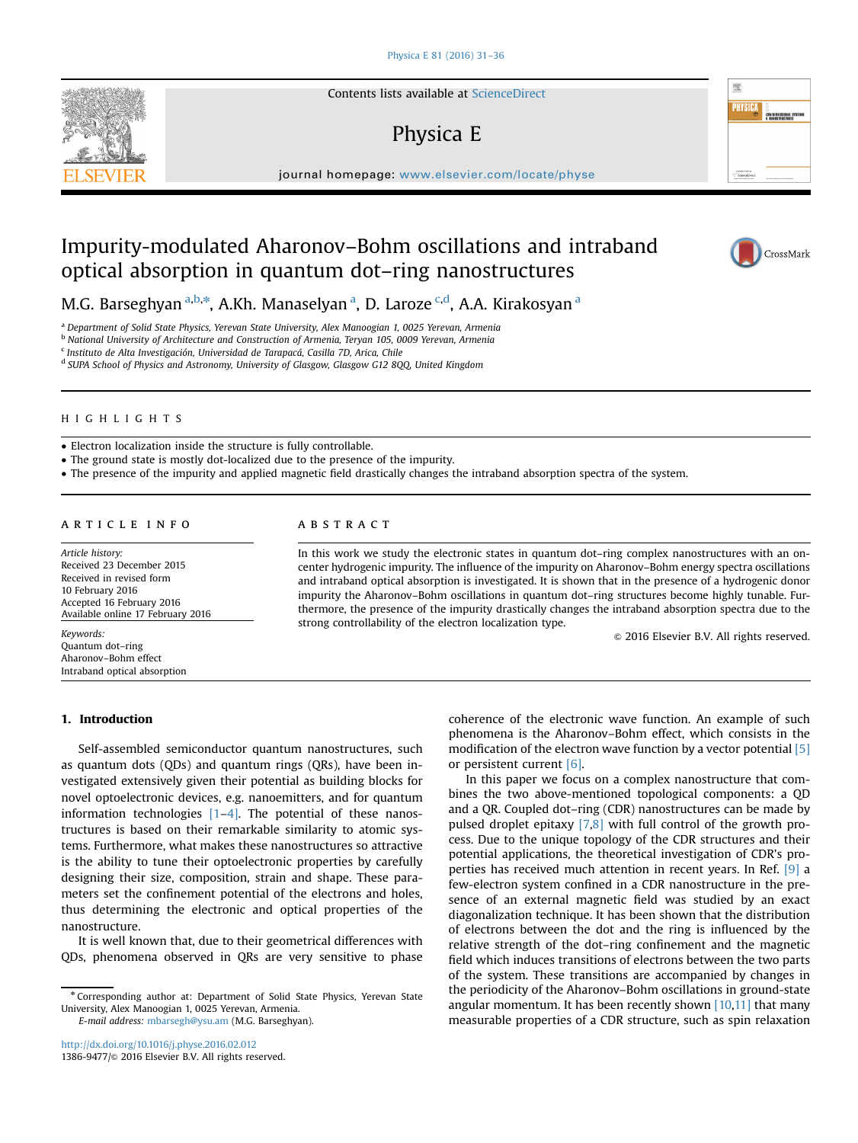Contents lists available at [ScienceDirect](www.sciencedirect.com/science/journal/13869477)

# Physica E

journal homepage: <www.elsevier.com/locate/physe>

# Impurity-modulated Aharonov–Bohm oscillations and intraband optical absorption in quantum dot–ring nanostructures



<sup>a</sup> Department of Solid State Physics, Yerevan State University, Alex Manoogian 1, 0025 Yerevan, Armenia

b National University of Architecture and Construction of Armenia, Teryan 105, 0009 Yerevan, Armenia

<sup>c</sup> Instituto de Alta Investigación, Universidad de Tarapacá, Casilla 7D, Arica, Chile

<sup>d</sup> SUPA School of Physics and Astronomy, University of Glasgow, Glasgow G12 8QQ, United Kingdom

### HIGHLIGHTS

Electron localization inside the structure is fully controllable.

The ground state is mostly dot-localized due to the presence of the impurity.

The presence of the impurity and applied magnetic field drastically changes the intraband absorption spectra of the system.

## article info

Article history: Received 23 December 2015 Received in revised form 10 February 2016 Accepted 16 February 2016 Available online 17 February 2016

Keywords: Quantum dot–ring Aharonov–Bohm effect Intraband optical absorption

## 1. Introduction

Self-assembled semiconductor quantum nanostructures, such as quantum dots (QDs) and quantum rings (QRs), have been investigated extensively given their potential as building blocks for novel optoelectronic devices, e.g. nanoemitters, and for quantum information technologies  $[1-4]$  $[1-4]$  $[1-4]$ . The potential of these nanostructures is based on their remarkable similarity to atomic systems. Furthermore, what makes these nanostructures so attractive is the ability to tune their optoelectronic properties by carefully designing their size, composition, strain and shape. These parameters set the confinement potential of the electrons and holes, thus determining the electronic and optical properties of the nanostructure.

It is well known that, due to their geometrical differences with QDs, phenomena observed in QRs are very sensitive to phase

E-mail address: [mbarsegh@ysu.am](mailto:mbarsegh@ysu.am) (M.G. Barseghyan).

# ABSTRACT

In this work we study the electronic states in quantum dot–ring complex nanostructures with an oncenter hydrogenic impurity. The influence of the impurity on Aharonov–Bohm energy spectra oscillations and intraband optical absorption is investigated. It is shown that in the presence of a hydrogenic donor impurity the Aharonov–Bohm oscillations in quantum dot–ring structures become highly tunable. Furthermore, the presence of the impurity drastically changes the intraband absorption spectra due to the strong controllability of the electron localization type.

 $\odot$  2016 Elsevier B.V. All rights reserved.

coherence of the electronic wave function. An example of such phenomena is the Aharonov–Bohm effect, which consists in the modification of the electron wave function by a vector potential [\[5\]](#page-4-0) or persistent current [\[6\].](#page-4-0)

In this paper we focus on a complex nanostructure that combines the two above-mentioned topological components: a QD and a QR. Coupled dot–ring (CDR) nanostructures can be made by pulsed droplet epitaxy [\[7,8\]](#page-4-0) with full control of the growth process. Due to the unique topology of the CDR structures and their potential applications, the theoretical investigation of CDR's properties has received much attention in recent years. In Ref. [\[9\]](#page-4-0) a few-electron system confined in a CDR nanostructure in the presence of an external magnetic field was studied by an exact diagonalization technique. It has been shown that the distribution of electrons between the dot and the ring is influenced by the relative strength of the dot–ring confinement and the magnetic field which induces transitions of electrons between the two parts of the system. These transitions are accompanied by changes in the periodicity of the Aharonov–Bohm oscillations in ground-state angular momentum. It has been recently shown  $[10,11]$  $[10,11]$  $[10,11]$  that many measurable properties of a CDR structure, such as spin relaxation





照 **PHYSIC** 

<sup>n</sup> Corresponding author at: Department of Solid State Physics, Yerevan State University, Alex Manoogian 1, 0025 Yerevan, Armenia.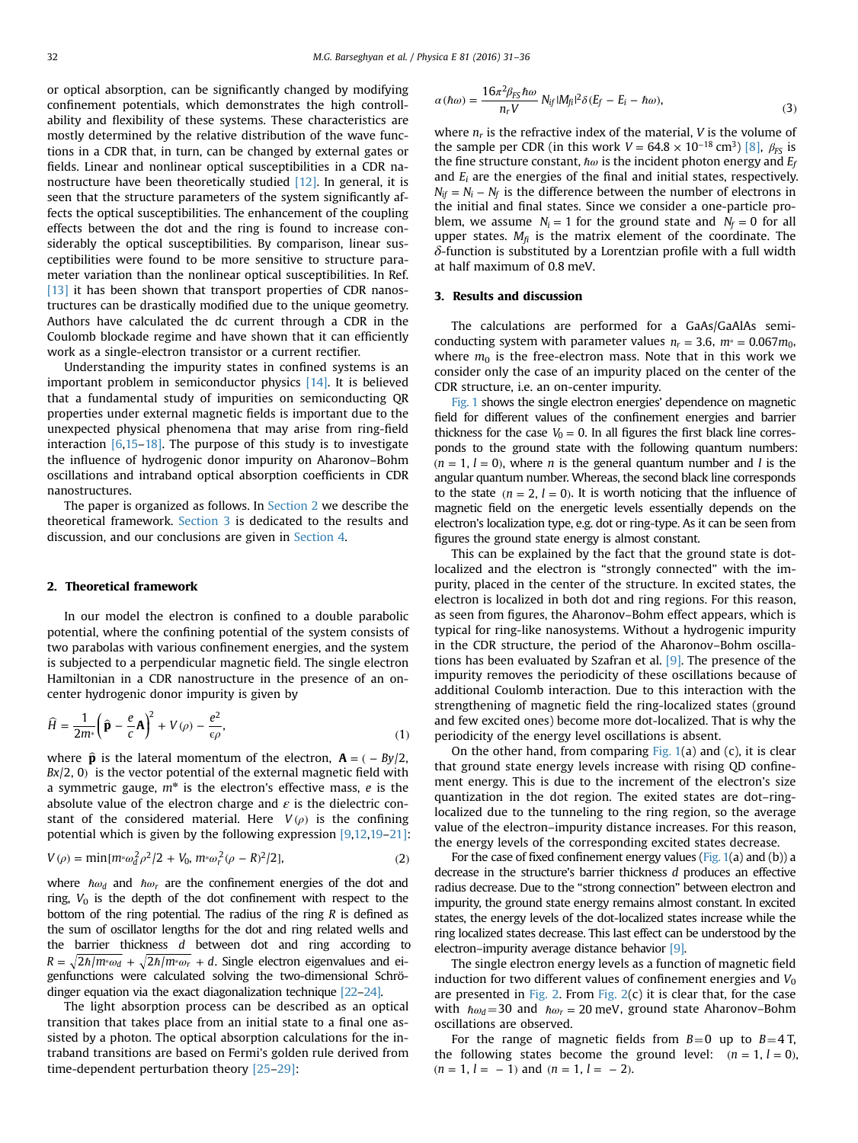or optical absorption, can be significantly changed by modifying confinement potentials, which demonstrates the high controllability and flexibility of these systems. These characteristics are mostly determined by the relative distribution of the wave functions in a CDR that, in turn, can be changed by external gates or fields. Linear and nonlinear optical susceptibilities in a CDR nanostructure have been theoretically studied  $[12]$ . In general, it is seen that the structure parameters of the system significantly affects the optical susceptibilities. The enhancement of the coupling effects between the dot and the ring is found to increase considerably the optical susceptibilities. By comparison, linear susceptibilities were found to be more sensitive to structure parameter variation than the nonlinear optical susceptibilities. In Ref. [\[13\]](#page-4-0) it has been shown that transport properties of CDR nanostructures can be drastically modified due to the unique geometry. Authors have calculated the dc current through a CDR in the Coulomb blockade regime and have shown that it can efficiently work as a single-electron transistor or a current rectifier.

Understanding the impurity states in confined systems is an important problem in semiconductor physics [\[14\]](#page-4-0). It is believed that a fundamental study of impurities on semiconducting QR properties under external magnetic fields is important due to the unexpected physical phenomena that may arise from ring-field interaction  $[6,15-18]$  $[6,15-18]$  $[6,15-18]$  $[6,15-18]$  $[6,15-18]$ . The purpose of this study is to investigate the influence of hydrogenic donor impurity on Aharonov–Bohm oscillations and intraband optical absorption coefficients in CDR nanostructures.

The paper is organized as follows. In Section 2 we describe the theoretical framework. Section 3 is dedicated to the results and discussion, and our conclusions are given in [Section 4](#page-3-0).

# 2. Theoretical framework

In our model the electron is confined to a double parabolic potential, where the confining potential of the system consists of two parabolas with various confinement energies, and the system is subjected to a perpendicular magnetic field. The single electron Hamiltonian in a CDR nanostructure in the presence of an oncenter hydrogenic donor impurity is given by

$$
\widehat{H} = \frac{1}{2m^*} \left( \widehat{\mathbf{p}} - \frac{e}{c} \mathbf{A} \right)^2 + V(\rho) - \frac{e^2}{\epsilon \rho},\tag{1}
$$

where  $\hat{\mathbf{p}}$  is the lateral momentum of the electron,  $\mathbf{A} = (-By/2,$ *Bx*/2, 0) is the vector potential of the external magnetic field with a symmetric gauge,  $m^*$  is the electron's effective mass,  $e$  is the absolute value of the electron charge and  $\varepsilon$  is the dielectric constant of the considered material. Here  $V(\rho)$  is the confining potential which is given by the following expression [\[9,12,19](#page-4-0)–[21\]:](#page-5-0)

$$
V(\rho) = \min[m \ast \omega_d^2 \rho^2 / 2 + V_0, m \ast \omega_r^2 (\rho - R)^2 / 2],
$$
 (2)

where  $\hbar \omega_d$  and  $\hbar \omega_r$  are the confinement energies of the dot and ring,  $V_0$  is the depth of the dot confinement with respect to the bottom of the ring potential. The radius of the ring  *is defined as* the sum of oscillator lengths for the dot and ring related wells and the barrier thickness d between dot and ring according to  $R = \sqrt{2\hbar/m^* \omega_d + \sqrt{2\hbar/m^* \omega_r + d}$ . Single electron eigenvalues and eigenfunctions were calculated solving the two-dimensional Schrödinger equation via the exact diagonalization technique [\[22](#page-5-0)–[24\]](#page-5-0).

The light absorption process can be described as an optical transition that takes place from an initial state to a final one assisted by a photon. The optical absorption calculations for the intraband transitions are based on Fermi's golden rule derived from time-dependent perturbation theory [\[25](#page-5-0)–[29\]](#page-5-0):

$$
\alpha(\hbar\omega) = \frac{16\pi^2 \beta_{FS} \hbar\omega}{n_r V} N_{if} |M_{\tilde{h}}|^2 \delta(E_f - E_i - \hbar\omega), \tag{3}
$$

where  $n_r$  is the refractive index of the material, V is the volume of the sample per CDR (in this work  $V = 64.8 \times 10^{-18}$  cm<sup>3</sup>) [\[8\],](#page-4-0)  $\beta_{FS}$  is the fine structure constant,  $\hbar\omega$  is the incident photon energy and  $E_f$ and  $E_i$  are the energies of the final and initial states, respectively.  $N_{if} = N_i - N_f$  is the difference between the number of electrons in the initial and final states. Since we consider a one-particle problem, we assume  $N_i = 1$  for the ground state and  $N_f = 0$  for all upper states.  $M_{fi}$  is the matrix element of the coordinate. The  $\delta$ -function is substituted by a Lorentzian profile with a full width at half maximum of 0.8 meV.

#### 3. Results and discussion

The calculations are performed for a GaAs/GaAlAs semiconducting system with parameter values  $n_r = 3.6$ ,  $m_* = 0.067 m_0$ , where  $m_0$  is the free-electron mass. Note that in this work we consider only the case of an impurity placed on the center of the CDR structure, i.e. an on-center impurity.

[Fig. 1](#page-2-0) shows the single electron energies' dependence on magnetic field for different values of the confinement energies and barrier thickness for the case  $V_0 = 0$ . In all figures the first black line corresponds to the ground state with the following quantum numbers:  $(n = 1, l = 0)$ , where *n* is the general quantum number and *l* is the angular quantum number. Whereas, the second black line corresponds to the state  $(n = 2, l = 0)$ . It is worth noticing that the influence of magnetic field on the energetic levels essentially depends on the electron's localization type, e.g. dot or ring-type. As it can be seen from figures the ground state energy is almost constant.

This can be explained by the fact that the ground state is dotlocalized and the electron is "strongly connected" with the impurity, placed in the center of the structure. In excited states, the electron is localized in both dot and ring regions. For this reason, as seen from figures, the Aharonov–Bohm effect appears, which is typical for ring-like nanosystems. Without a hydrogenic impurity in the CDR structure, the period of the Aharonov–Bohm oscillations has been evaluated by Szafran et al.  $[9]$ . The presence of the impurity removes the periodicity of these oscillations because of additional Coulomb interaction. Due to this interaction with the strengthening of magnetic field the ring-localized states (ground and few excited ones) become more dot-localized. That is why the periodicity of the energy level oscillations is absent.

On the other hand, from comparing Fig.  $1(a)$  and  $(c)$ , it is clear that ground state energy levels increase with rising QD confinement energy. This is due to the increment of the electron's size quantization in the dot region. The exited states are dot–ringlocalized due to the tunneling to the ring region, so the average value of the electron–impurity distance increases. For this reason, the energy levels of the corresponding excited states decrease.

For the case of fixed confinement energy values (Fig.  $1(a)$  and  $(b)$ ) a decrease in the structure's barrier thickness d produces an effective radius decrease. Due to the "strong connection" between electron and impurity, the ground state energy remains almost constant. In excited states, the energy levels of the dot-localized states increase while the ring localized states decrease. This last effect can be understood by the electron–impurity average distance behavior [\[9\].](#page-4-0)

The single electron energy levels as a function of magnetic field induction for two different values of confinement energies and  $V_0$ are presented in [Fig. 2](#page-3-0). From Fig.  $2(c)$  it is clear that, for the case with  $\hbar\omega_d$  = 30 and  $\hbar\omega_r$  = 20 meV, ground state Aharonov–Bohm oscillations are observed.

For the range of magnetic fields from  $B=0$  up to  $B=4$  T, the following states become the ground level:  $(n = 1, l = 0)$ ,  $(n = 1, l = -1)$  and  $(n = 1, l = -2)$ .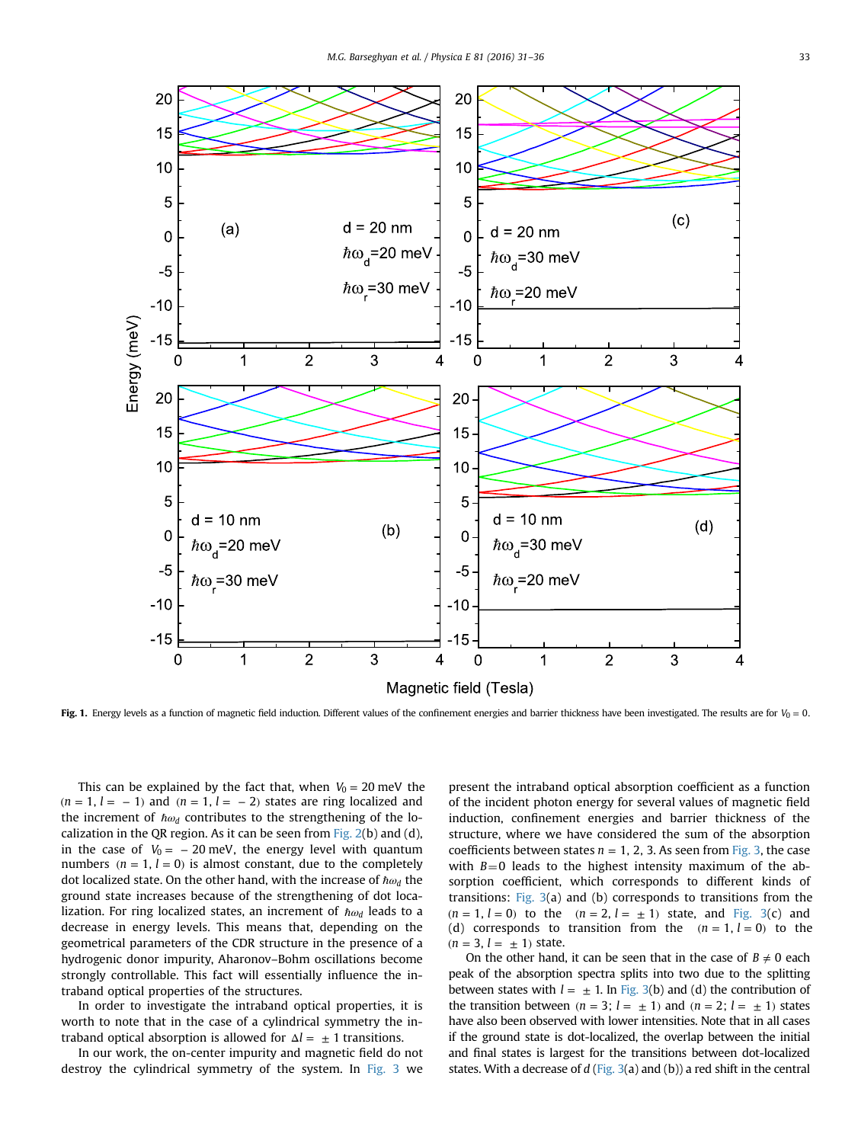<span id="page-2-0"></span>

Fig. 1. Energy levels as a function of magnetic field induction. Different values of the confinement energies and barrier thickness have been investigated. The results are for  $V_0 = 0$ .

This can be explained by the fact that, when  $V_0 = 20$  meV the  $(n = 1, l = -1)$  and  $(n = 1, l = -2)$  states are ring localized and the increment of *ħω*<sup>*d*</sup> contributes to the strengthening of the localization in the QR region. As it can be seen from Fig.  $2(b)$  and  $(d)$ , in the case of  $V_0 = -20$  meV, the energy level with quantum numbers  $(n = 1, l = 0)$  is almost constant, due to the completely dot localized state. On the other hand, with the increase of ℏ*ω<sup>d</sup>* the ground state increases because of the strengthening of dot localization. For ring localized states, an increment of ℏ*ω<sup>d</sup>* leads to a decrease in energy levels. This means that, depending on the geometrical parameters of the CDR structure in the presence of a hydrogenic donor impurity, Aharonov–Bohm oscillations become strongly controllable. This fact will essentially influence the intraband optical properties of the structures.

In order to investigate the intraband optical properties, it is worth to note that in the case of a cylindrical symmetry the intraband optical absorption is allowed for  $\Delta l = \pm 1$  transitions.

In our work, the on-center impurity and magnetic field do not destroy the cylindrical symmetry of the system. In [Fig. 3](#page-4-0) we present the intraband optical absorption coefficient as a function of the incident photon energy for several values of magnetic field induction, confinement energies and barrier thickness of the structure, where we have considered the sum of the absorption coefficients between states  $n = 1, 2, 3$ . As seen from [Fig. 3](#page-4-0), the case with  $B=0$  leads to the highest intensity maximum of the absorption coefficient, which corresponds to different kinds of transitions: Fig.  $3(a)$  and (b) corresponds to transitions from the  $(n = 1, l = 0)$  to the  $(n = 2, l = \pm 1)$  state, and [Fig. 3\(](#page-4-0)c) and (d) corresponds to transition from the  $(n = 1, l = 0)$  to the  $(n = 3, l = \pm 1)$  state.

On the other hand, it can be seen that in the case of  $B \neq 0$  each peak of the absorption spectra splits into two due to the splitting between states with  $l = \pm 1$ . In [Fig. 3\(](#page-4-0)b) and (d) the contribution of the transition between  $(n = 3; l = \pm 1)$  and  $(n = 2; l = \pm 1)$  states have also been observed with lower intensities. Note that in all cases if the ground state is dot-localized, the overlap between the initial and final states is largest for the transitions between dot-localized states. With a decrease of  $d$  ([Fig. 3](#page-4-0)(a) and (b)) a red shift in the central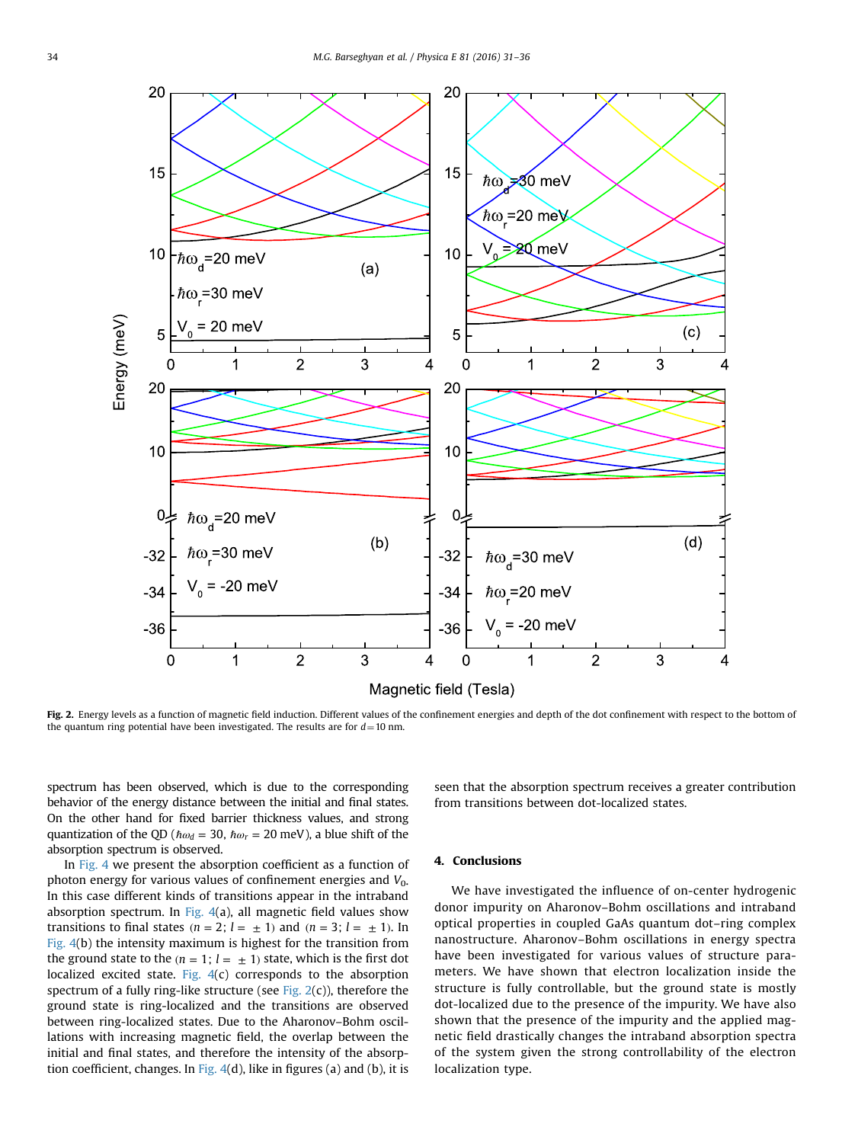<span id="page-3-0"></span>

Fig. 2. Energy levels as a function of magnetic field induction. Different values of the confinement energies and depth of the dot confinement with respect to the bottom of the quantum ring potential have been investigated. The results are for  $d=10$  nm.

spectrum has been observed, which is due to the corresponding behavior of the energy distance between the initial and final states. On the other hand for fixed barrier thickness values, and strong quantization of the QD ( $\hbar \omega_d = 30$ ,  $\hbar \omega_r = 20$  meV), a blue shift of the absorption spectrum is observed.

In [Fig. 4](#page-4-0) we present the absorption coefficient as a function of photon energy for various values of confinement energies and  $V_0$ . In this case different kinds of transitions appear in the intraband absorption spectrum. In [Fig. 4\(](#page-4-0)a), all magnetic field values show transitions to final states  $(n = 2; l = \pm 1)$  and  $(n = 3; l = \pm 1)$ . In [Fig. 4](#page-4-0)(b) the intensity maximum is highest for the transition from the ground state to the  $(n = 1; l = \pm 1)$  state, which is the first dot localized excited state. [Fig. 4\(](#page-4-0)c) corresponds to the absorption spectrum of a fully ring-like structure (see Fig.  $2(c)$ ), therefore the ground state is ring-localized and the transitions are observed between ring-localized states. Due to the Aharonov–Bohm oscillations with increasing magnetic field, the overlap between the initial and final states, and therefore the intensity of the absorption coefficient, changes. In Fig.  $4(d)$ , like in figures (a) and (b), it is seen that the absorption spectrum receives a greater contribution from transitions between dot-localized states.

# 4. Conclusions

We have investigated the influence of on-center hydrogenic donor impurity on Aharonov–Bohm oscillations and intraband optical properties in coupled GaAs quantum dot–ring complex nanostructure. Aharonov–Bohm oscillations in energy spectra have been investigated for various values of structure parameters. We have shown that electron localization inside the structure is fully controllable, but the ground state is mostly dot-localized due to the presence of the impurity. We have also shown that the presence of the impurity and the applied magnetic field drastically changes the intraband absorption spectra of the system given the strong controllability of the electron localization type.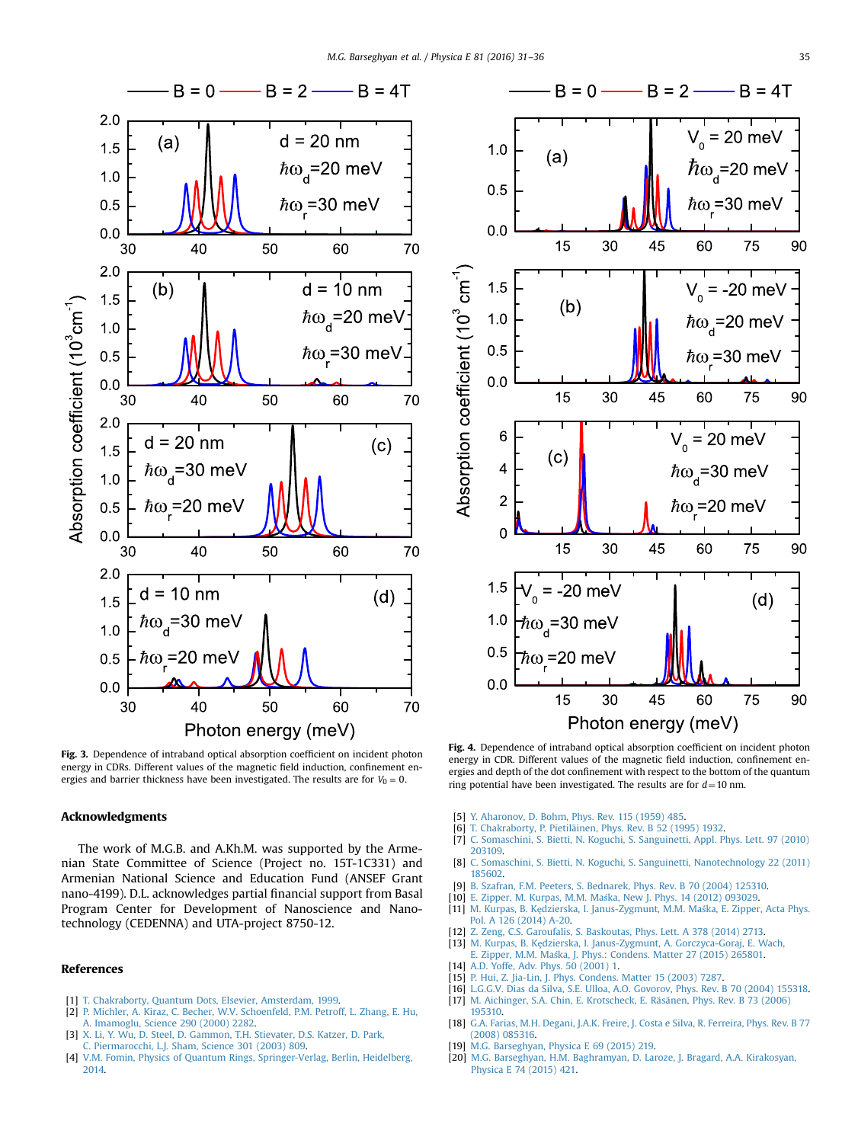<span id="page-4-0"></span>

Fig. 3. Dependence of intraband optical absorption coefficient on incident photon energy in CDRs. Different values of the magnetic field induction, confinement energies and barrier thickness have been investigated. The results are for  $V_0 = 0$ .

# Acknowledgments

The work of M.G.B. and A.Kh.M. was supported by the Armenian State Committee of Science (Project no. 15T-1C331) and Armenian National Science and Education Fund (ANSEF Grant nano-4199). D.L. acknowledges partial financial support from Basal Program Center for Development of Nanoscience and Nanotechnology (CEDENNA) and UTA-project 8750-12.

#### References

- [1] [T. Chakraborty, Quantum Dots, Elsevier, Amsterdam, 1999.](http://refhub.elsevier.com/S1386-9477(16)30057-1/sbref1)
- [2] [P. Michler, A. Kiraz, C. Becher, W.V. Schoenfeld, P.M. Petroff, L. Zhang, E. Hu,](http://refhub.elsevier.com/S1386-9477(16)30057-1/sbref2) [A. Imamoglu, Science 290 \(2000\) 2282.](http://refhub.elsevier.com/S1386-9477(16)30057-1/sbref2)
- [3] [X. Li, Y. Wu, D. Steel, D. Gammon, T.H. Stievater, D.S. Katzer, D. Park,](http://refhub.elsevier.com/S1386-9477(16)30057-1/sbref3) [C. Piermarocchi, L.J. Sham, Science 301 \(2003\) 809.](http://refhub.elsevier.com/S1386-9477(16)30057-1/sbref3)
- [4] [V.M. Fomin, Physics of Quantum Rings, Springer-Verlag, Berlin, Heidelberg,](http://refhub.elsevier.com/S1386-9477(16)30057-1/sbref4) [2014.](http://refhub.elsevier.com/S1386-9477(16)30057-1/sbref4)



Fig. 4. Dependence of intraband optical absorption coefficient on incident photon energy in CDR. Different values of the magnetic field induction, confinement energies and depth of the dot confinement with respect to the bottom of the quantum ring potential have been investigated. The results are for  $d=10$  nm.

- [5] [Y. Aharonov, D. Bohm, Phys. Rev. 115 \(1959\) 485.](http://refhub.elsevier.com/S1386-9477(16)30057-1/sbref5)
- [6] [T. Chakraborty, P. Pietiläinen, Phys. Rev. B 52 \(1995\) 1932.](http://refhub.elsevier.com/S1386-9477(16)30057-1/sbref6)
- [7] [C. Somaschini, S. Bietti, N. Koguchi, S. Sanguinetti, Appl. Phys. Lett. 97 \(2010\)](http://refhub.elsevier.com/S1386-9477(16)30057-1/sbref7) [203109.](http://refhub.elsevier.com/S1386-9477(16)30057-1/sbref7)
- [8] [C. Somaschini, S. Bietti, N. Koguchi, S. Sanguinetti, Nanotechnology 22 \(2011\)](http://refhub.elsevier.com/S1386-9477(16)30057-1/sbref8) [185602.](http://refhub.elsevier.com/S1386-9477(16)30057-1/sbref8)
- [9] [B. Szafran, F.M. Peeters, S. Bednarek, Phys. Rev. B 70 \(2004\) 125310.](http://refhub.elsevier.com/S1386-9477(16)30057-1/sbref9)
- [10] E. Zipper, M. Kurpas, M.M. Maś[ka, New J. Phys. 14 \(2012\) 093029.](http://refhub.elsevier.com/S1386-9477(16)30057-1/sbref10)
- [11] M. Kurpas, B. Kȩ[dzierska, I. Janus-Zygmunt, M.M. Ma](http://refhub.elsevier.com/S1386-9477(16)30057-1/sbref11)śka, E. Zipper, Acta Phys. [Pol. A 126 \(2014\) A-20.](http://refhub.elsevier.com/S1386-9477(16)30057-1/sbref11)
- [12] [Z. Zeng, C.S. Garoufalis, S. Baskoutas, Phys. Lett. A 378 \(2014\) 2713.](http://refhub.elsevier.com/S1386-9477(16)30057-1/sbref12)
- [13] M. Kurpas, B. Kȩ[dzierska, I. Janus-Zygmunt, A. Gorczyca-Goraj, E. Wach,](http://refhub.elsevier.com/S1386-9477(16)30057-1/sbref13)
	- E. Zipper, M.M. Maś[ka, J. Phys.: Condens. Matter 27 \(2015\) 265801.](http://refhub.elsevier.com/S1386-9477(16)30057-1/sbref13)
- [14] [A.D. Yoffe, Adv. Phys. 50 \(2001\) 1.](http://refhub.elsevier.com/S1386-9477(16)30057-1/sbref14)
- [15] [P. Hui, Z. Jia-Lin, J. Phys. Condens. Matter 15 \(2003\) 7287.](http://refhub.elsevier.com/S1386-9477(16)30057-1/sbref15)
- [L.G.G.V. Dias da Silva, S.E. Ulloa, A.O. Govorov, Phys. Rev. B 70 \(2004\) 155318.](http://refhub.elsevier.com/S1386-9477(16)30057-1/sbref16) [17] [M. Aichinger, S.A. Chin, E. Krotscheck, E. Räsänen, Phys. Rev. B 73 \(2006\)](http://refhub.elsevier.com/S1386-9477(16)30057-1/sbref17) [195310.](http://refhub.elsevier.com/S1386-9477(16)30057-1/sbref17)
- [18] [G.A. Farias, M.H. Degani, J.A.K. Freire, J. Costa e Silva, R. Ferreira, Phys. Rev. B 77](http://refhub.elsevier.com/S1386-9477(16)30057-1/sbref18) [\(2008\) 085316.](http://refhub.elsevier.com/S1386-9477(16)30057-1/sbref18)
- [19] [M.G. Barseghyan, Physica E 69 \(2015\) 219.](http://refhub.elsevier.com/S1386-9477(16)30057-1/sbref19)
- [20] [M.G. Barseghyan, H.M. Baghramyan, D. Laroze, J. Bragard, A.A. Kirakosyan,](http://refhub.elsevier.com/S1386-9477(16)30057-1/sbref20) [Physica E 74 \(2015\) 421.](http://refhub.elsevier.com/S1386-9477(16)30057-1/sbref20)